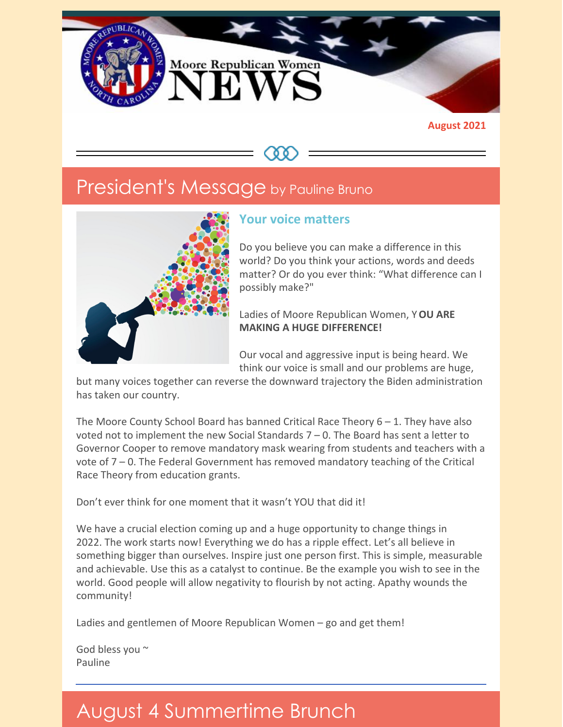

#### **August 2021**

## President's Message by Pauline Bruno



### **Your voice matters**

Do you believe you can make a difference in this world? Do you think your actions, words and deeds matter? Or do you ever think: "What difference can I possibly make?"

Ladies of Moore Republican Women, Y**OU ARE MAKING A HUGE DIFFERENCE!**

Our vocal and aggressive input is being heard. We think our voice is small and our problems are huge,

but many voices together can reverse the downward trajectory the Biden administration has taken our country.

The Moore County School Board has banned Critical Race Theory  $6 - 1$ . They have also voted not to implement the new Social Standards  $7 - 0$ . The Board has sent a letter to Governor Cooper to remove mandatory mask wearing from students and teachers with a vote of 7 – 0. The Federal Government has removed mandatory teaching of the Critical Race Theory from education grants.

Don't ever think for one moment that it wasn't YOU that did it!

We have a crucial election coming up and a huge opportunity to change things in 2022. The work starts now! Everything we do has a ripple effect. Let's all believe in something bigger than ourselves. Inspire just one person first. This is simple, measurable and achievable. Use this as a catalyst to continue. Be the example you wish to see in the world. Good people will allow negativity to flourish by not acting. Apathy wounds the community!

Ladies and gentlemen of Moore Republican Women – go and get them!

God bless you ~ Pauline

# August 4 Summertime Brunch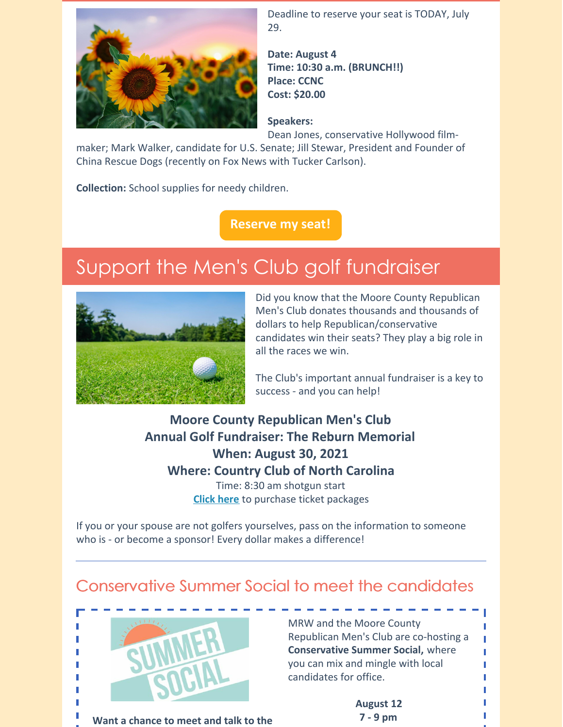

Deadline to reserve your seat is TODAY, July 29.

**Date: August 4 Time: 10:30 a.m. (BRUNCH!!) Place: CCNC Cost: \$20.00**

### **Speakers:**

Dean Jones, conservative Hollywood film-

maker; Mark Walker, candidate for U.S. Senate; Jill Stewar, President and Founder of China Rescue Dogs (recently on Fox News with Tucker Carlson).

**Collection:** School supplies for needy children.

**[Reserve](https://www.mrwnc.org/make-lunch-reservation) my seat!**

# Support the Men's Club golf fundraiser



Did you know that the Moore County Republican Men's Club donates thousands and thousands of dollars to help Republican/conservative candidates win their seats? They play a big role in all the races we win.

The Club's important annual fundraiser is a key to success - and you can help!

**Moore County Republican Men's Club Annual Golf Fundraiser: The Reburn Memorial When: August 30, 2021 Where: Country Club of North Carolina** Time: 8:30 am shotgun start **[Click](https://sites.google.com/view/mensclubgolftournament/home) here** to purchase ticket packages

If you or your spouse are not golfers yourselves, pass on the information to someone who is - or become a sponsor! Every dollar makes a difference!

### Conservative Summer Social to meet the candidates



**Want a chance to meet and talk to the**

MRW and the Moore County Republican Men's Club are co-hosting a **Conservative Summer Social,** where you can mix and mingle with local candidates for office.

> **August 12 7 - 9 pm**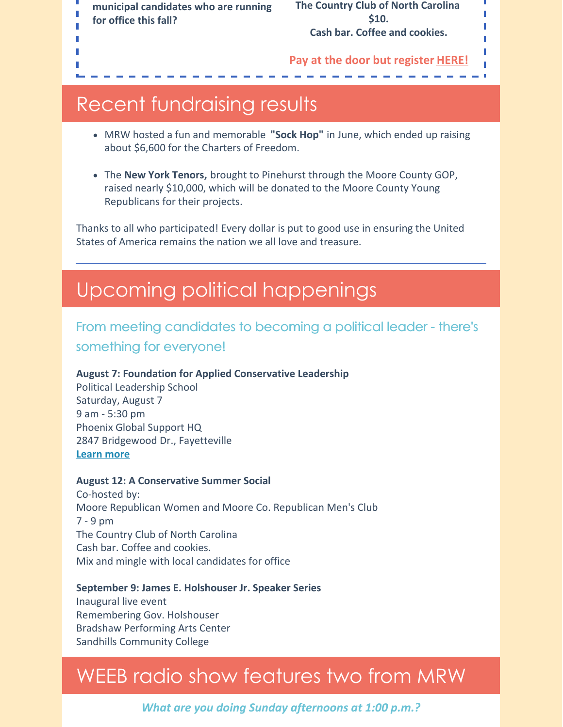**municipal candidates who are running for office this fall?**

Ī

**The Country Club of North Carolina \$10. Cash bar. Coffee and cookies.**

П

#### **Pay at the door but register [HERE!](https://mcgopnc.wufoo.com/forms/conservative-summer-social-meet-local-candidates)**

### Recent fundraising results

- MRW hosted a fun and memorable **"Sock Hop"** in June, which ended up raising about \$6,600 for the Charters of Freedom.
- The **New York Tenors,** brought to Pinehurst through the Moore County GOP, raised nearly \$10,000, which will be donated to the Moore County Young Republicans for their projects.

Thanks to all who participated! Every dollar is put to good use in ensuring the United States of America remains the nation we all love and treasure.

### Upcoming political happenings

### From meeting candidates to becoming a political leader - there's something for everyone!

### **August 7: Foundation for Applied Conservative Leadership**

Political Leadership School Saturday, August 7 9 am - 5:30 pm Phoenix Global Support HQ 2847 Bridgewood Dr., Fayetteville **[Learn](https://www.facl-training.org/schools/events/fayetteville-nc-pls-07aug2021) more**

### **August 12: A Conservative Summer Social**

Co-hosted by: Moore Republican Women and Moore Co. Republican Men's Club 7 - 9 pm The Country Club of North Carolina Cash bar. Coffee and cookies. Mix and mingle with local candidates for office

### **September 9: James E. Holshouser Jr. Speaker Series**

Inaugural live event Remembering Gov. Holshouser Bradshaw Performing Arts Center Sandhills Community College

## WEEB radio show features two from MRW

*What are you doing Sunday afternoons at 1:00 p.m.?*